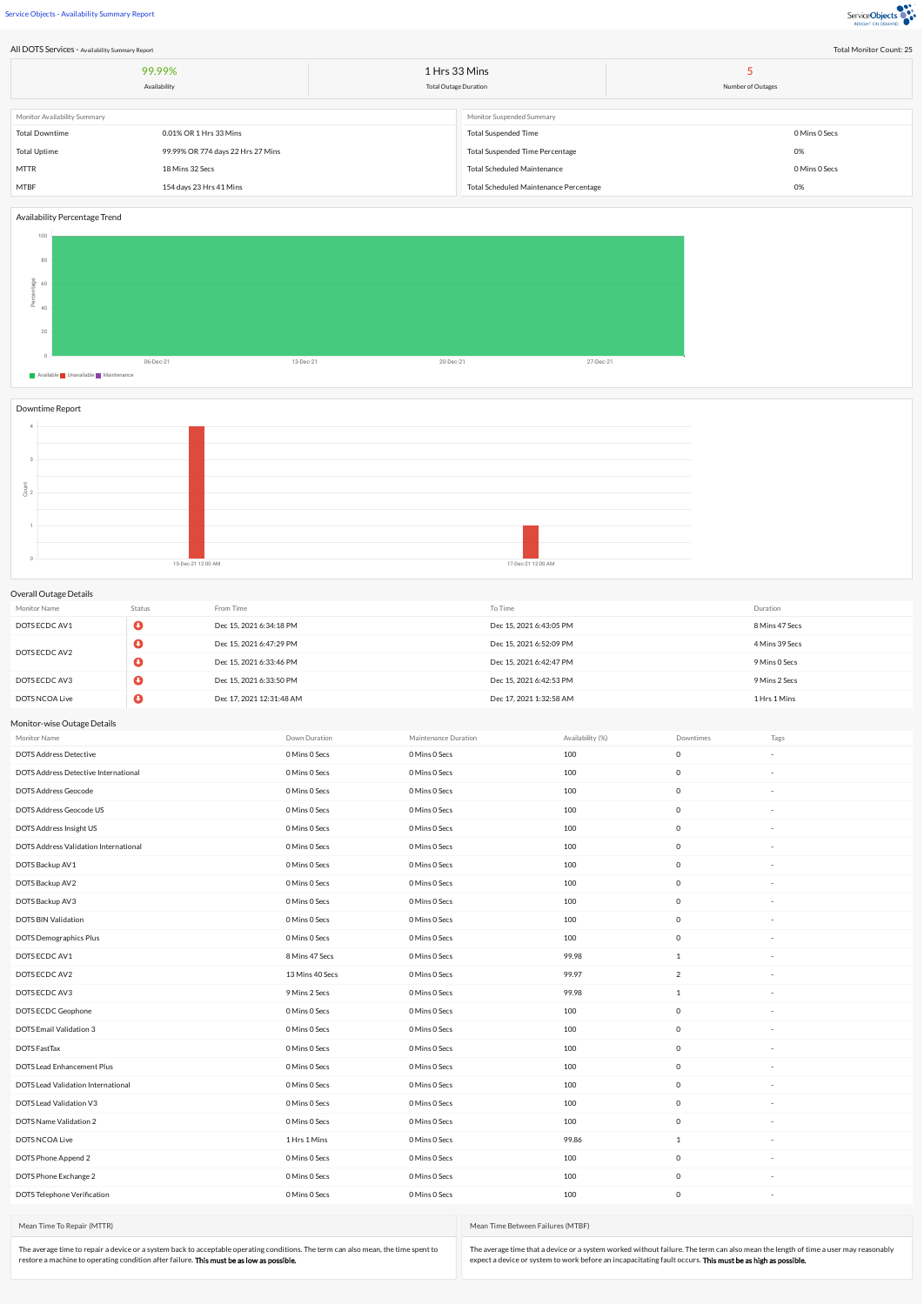Service Objects - Availability Summary Report



Total Monitor Count: 25

| Total Monitor Count: 25<br>All DOTS Services - Availability Summary Report |                                   |  |                                        |                   |  |  |  |  |  |
|----------------------------------------------------------------------------|-----------------------------------|--|----------------------------------------|-------------------|--|--|--|--|--|
|                                                                            | 99.99%                            |  | 1 Hrs 33 Mins                          |                   |  |  |  |  |  |
|                                                                            | Availability                      |  | <b>Total Outage Duration</b>           | Number of Outages |  |  |  |  |  |
| Monitor Availability Summary                                               |                                   |  | Monitor Suspended Summary              |                   |  |  |  |  |  |
|                                                                            |                                   |  |                                        |                   |  |  |  |  |  |
| <b>Total Downtime</b>                                                      | 0.01% OR 1 Hrs 33 Mins            |  | <b>Total Suspended Time</b>            | 0 Mins 0 Secs     |  |  |  |  |  |
| <b>Total Uptime</b>                                                        | 99.99% OR 774 days 22 Hrs 27 Mins |  | <b>Total Suspended Time Percentage</b> | 0%                |  |  |  |  |  |
| <b>MTTR</b>                                                                | 18 Mins 32 Secs                   |  | <b>Total Scheduled Maintenance</b>     | 0 Mins 0 Secs     |  |  |  |  |  |
| MTBF                                                                       | 154 days 23 Hrs 41 Mins           |  | Total Scheduled Maintenance Percentage | 0%                |  |  |  |  |  |

## Availability Percentage Trend



## Downtime Report



## Overall Outage Details

| Monitor Name   | Status | From Time                | To Time                 | Duration       |  |  |  |
|----------------|--------|--------------------------|-------------------------|----------------|--|--|--|
| DOTS ECDC AV1  |        | Dec 15, 2021 6:34:18 PM  | Dec 15, 2021 6:43:05 PM | 8 Mins 47 Secs |  |  |  |
| DOTS ECDC AV2  |        | Dec 15, 2021 6:47:29 PM  | Dec 15, 2021 6:52:09 PM | 4 Mins 39 Secs |  |  |  |
|                |        | Dec 15, 2021 6:33:46 PM  | Dec 15, 2021 6:42:47 PM | 9 Mins 0 Secs  |  |  |  |
| DOTS ECDC AV3  |        | Dec 15, 2021 6:33:50 PM  | Dec 15, 2021 6:42:53 PM | 9 Mins 2 Secs  |  |  |  |
| DOTS NCOA Live |        | Dec 17, 2021 12:31:48 AM | Dec 17, 2021 1:32:58 AM | 1 Hrs 1 Mins   |  |  |  |

## Monitor-wise Outage Details

| Monitor Name                          | Down Duration   | Maintenance Duration | Availability (%) | Downtimes           | Tags |
|---------------------------------------|-----------------|----------------------|------------------|---------------------|------|
| <b>DOTS Address Detective</b>         | 0 Mins 0 Secs   | 0 Mins 0 Secs        | 100              | $\mathbb O$         |      |
| DOTS Address Detective International  | 0 Mins 0 Secs   | 0 Mins 0 Secs        | 100              | $\mathbb O$         |      |
| DOTS Address Geocode                  | 0 Mins 0 Secs   | 0 Mins 0 Secs        | 100              | $\mathsf{O}$        |      |
| DOTS Address Geocode US               | 0 Mins 0 Secs   | 0 Mins 0 Secs        | 100              | $\circ$             |      |
| DOTS Address Insight US               | 0 Mins 0 Secs   | 0 Mins 0 Secs        | 100              | $\mathsf{O}$        |      |
| DOTS Address Validation International | 0 Mins 0 Secs   | 0 Mins 0 Secs        | 100              | $\circ$             |      |
| DOTS Backup AV1                       | 0 Mins 0 Secs   | 0 Mins 0 Secs        | 100              | $\mathsf{O}$        |      |
| DOTS Backup AV2                       | 0 Mins 0 Secs   | 0 Mins 0 Secs        | 100              | $\mathbb O$         |      |
| DOTS Backup AV3                       | 0 Mins 0 Secs   | 0 Mins 0 Secs        | 100              | $\mathsf 0$         |      |
| DOTS BIN Validation                   | 0 Mins 0 Secs   | 0 Mins 0 Secs        | 100              | $\mathbb O$         |      |
| <b>DOTS Demographics Plus</b>         | 0 Mins 0 Secs   | 0 Mins 0 Secs        | 100              | $\mathsf{O}$        |      |
| DOTS ECDC AV1                         | 8 Mins 47 Secs  | 0 Mins 0 Secs        | 99.98            | 1                   |      |
| DOTS ECDC AV2                         | 13 Mins 40 Secs | 0 Mins 0 Secs        | 99.97            | $\overline{2}$      |      |
| DOTS ECDC AV3                         | 9 Mins 2 Secs   | 0 Mins 0 Secs        | 99.98            | 1                   |      |
| DOTS ECDC Geophone                    | 0 Mins 0 Secs   | 0 Mins 0 Secs        | 100              | $\mathsf{O}$        |      |
| DOTS Email Validation 3               | 0 Mins 0 Secs   | 0 Mins 0 Secs        | 100              | $\mathsf{O}$        |      |
| DOTS FastTax                          | 0 Mins 0 Secs   | 0 Mins 0 Secs        | 100              | $\mathsf{O}\xspace$ |      |
| DOTS Lead Enhancement Plus            | 0 Mins 0 Secs   | 0 Mins 0 Secs        | 100              | $\mathbb O$         |      |
| DOTS Lead Validation International    | 0 Mins 0 Secs   | 0 Mins 0 Secs        | 100              | $\mathsf{O}$        |      |
| DOTS Lead Validation V3               | 0 Mins 0 Secs   | 0 Mins 0 Secs        | 100              | $\mathsf{O}\xspace$ |      |
| DOTS Name Validation 2                | 0 Mins 0 Secs   | 0 Mins 0 Secs        | 100              | $\mathsf{O}$        |      |
| DOTS NCOA Live                        | 1 Hrs 1 Mins    | 0 Mins 0 Secs        | 99.86            | 1                   |      |
| DOTS Phone Append 2                   | 0 Mins 0 Secs   | 0 Mins 0 Secs        | 100              | $\mathsf{O}$        |      |
| DOTS Phone Exchange 2                 | 0 Mins 0 Secs   | 0 Mins 0 Secs        | 100              | $\mathbb O$         |      |
| DOTS Telephone Verification           | 0 Mins 0 Secs   | 0 Mins 0 Secs        | 100              | $\mathsf{O}$        |      |

Mean Time To Repair (MTTR)

The average time to repair a device or a system back to acceptable operating conditions. The term can also mean, the time spent to<br>restore a machine to operating condition after failure. **This must be as low as possible.** 

Mean Time Between Failures (MTBF)

The average time that a device or a system worked without failure. The term can also mean the length of time a user may reasonably<br>expect a device or system to work before an incapacitating fault occurs. **This must be as h**